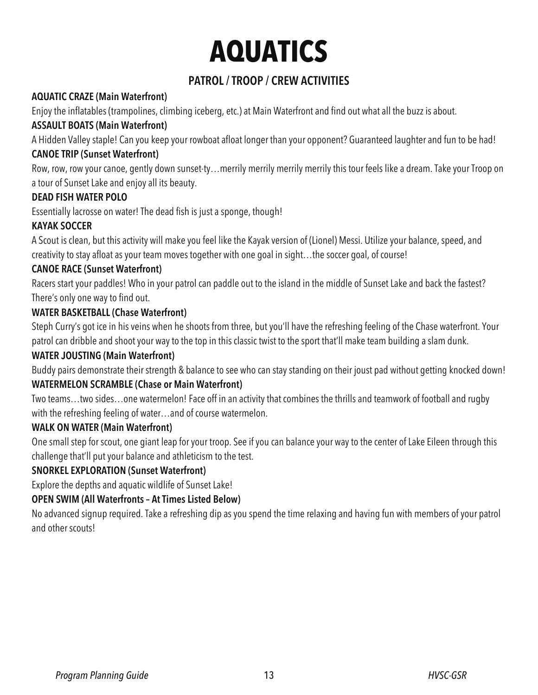# **AQUATICS**

### **PATROL / TROOP / CREW ACTIVITIES**

### **AQUATIC CRAZE (Main Waterfront)**

Enjoy the inflatables (trampolines, climbing iceberg, etc.) at Main Waterfront and find out what all the buzz is about.

### **ASSAULT BOATS (Main Waterfront)**

A Hidden Valley staple! Can you keep your rowboat afloat longer than your opponent? Guaranteed laughter and fun to be had! **CANOE TRIP (Sunset Waterfront)** 

Row, row, row your canoe, gently down sunset-ty…merrily merrily merrily merrily this tour feels like a dream. Take your Troop on a tour of Sunset Lake and enjoy all its beauty.

### **DEAD FISH WATER POLO**

Essentially lacrosse on water! The dead fish is just a sponge, though!

### **KAYAK SOCCER**

A Scout is clean, but this activity will make you feel like the Kayak version of (Lionel) Messi. Utilize your balance, speed, and creativity to stay afloat as your team moves together with one goal in sight…the soccer goal, of course!

### **CANOE RACE (Sunset Waterfront)**

Racers start your paddles! Who in your patrol can paddle out to the island in the middle of Sunset Lake and back the fastest? There's only one way to find out.

### **WATER BASKETBALL (Chase Waterfront)**

Steph Curry's got ice in his veins when he shoots from three, but you'll have the refreshing feeling of the Chase waterfront. Your patrol can dribble and shoot your way to the top in this classic twist to the sport that'll make team building a slam dunk.

### **WATER JOUSTING (Main Waterfront)**

Buddy pairs demonstrate their strength & balance to see who can stay standing on their joust pad without getting knocked down!

### **WATERMELON SCRAMBLE (Chase or Main Waterfront)**

Two teams…two sides…one watermelon! Face off in an activity that combines the thrills and teamwork of football and rugby with the refreshing feeling of water…and of course watermelon.

#### **WALK ON WATER (Main Waterfront)**

One small step for scout, one giant leap for your troop. See if you can balance your way to the center of Lake Eileen through this challenge that'll put your balance and athleticism to the test.

### **SNORKEL EXPLORATION (Sunset Waterfront)**

Explore the depths and aquatic wildlife of Sunset Lake!

### **OPEN SWIM (All Waterfronts – At Times Listed Below)**

No advanced signup required. Take a refreshing dip as you spend the time relaxing and having fun with members of your patrol and other scouts!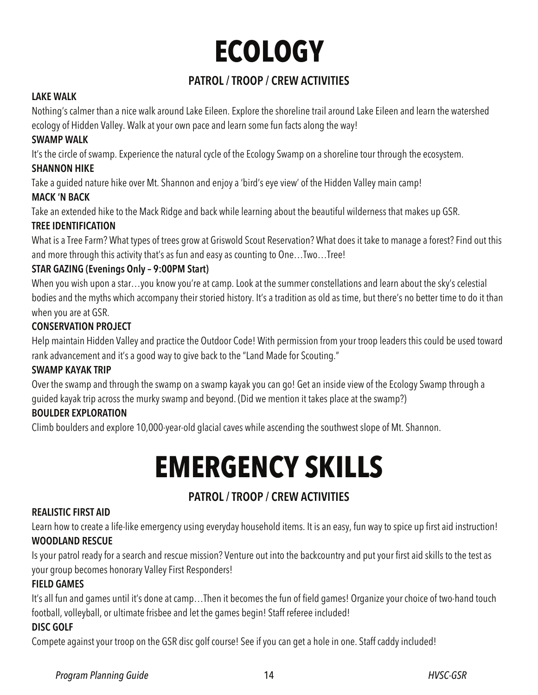# **ECOLOGY**

### **PATROL / TROOP / CREW ACTIVITIES**

#### **LAKE WALK**

Nothing's calmer than a nice walk around Lake Eileen. Explore the shoreline trail around Lake Eileen and learn the watershed ecology of Hidden Valley. Walk at your own pace and learn some fun facts along the way!

### **SWAMP WALK**

It's the circle of swamp. Experience the natural cycle of the Ecology Swamp on a shoreline tour through the ecosystem.

### **SHANNON HIKE**

Take a guided nature hike over Mt. Shannon and enjoy a 'bird's eye view' of the Hidden Valley main camp!

### **MACK 'N BACK**

Take an extended hike to the Mack Ridge and back while learning about the beautiful wilderness that makes up GSR.

### **TREE IDENTIFICATION**

What is a Tree Farm? What types of trees grow at Griswold Scout Reservation? What does it take to manage a forest? Find out this and more through this activity that's as fun and easy as counting to One…Two…Tree!

### **STAR GAZING (Evenings Only – 9:00PM Start)**

When you wish upon a star…you know you're at camp. Look at the summer constellations and learn about the sky's celestial bodies and the myths which accompany their storied history. It's a tradition as old as time, but there's no better time to do it than when you are at GSR.

### **CONSERVATION PROJECT**

Help maintain Hidden Valley and practice the Outdoor Code! With permission from your troop leaders this could be used toward rank advancement and it's a good way to give back to the "Land Made for Scouting."

### **SWAMP KAYAK TRIP**

Over the swamp and through the swamp on a swamp kayak you can go! Get an inside view of the Ecology Swamp through a guided kayak trip across the murky swamp and beyond. (Did we mention it takes place at the swamp?)

### **BOULDER EXPLORATION**

Climb boulders and explore 10,000-year-old glacial caves while ascending the southwest slope of Mt. Shannon.

## **EMERGENCY SKILLS**

### **PATROL / TROOP / CREW ACTIVITIES**

### **REALISTIC FIRST AID**

Learn how to create a life-like emergency using everyday household items. It is an easy, fun way to spice up first aid instruction! **WOODLAND RESCUE** 

Is your patrol ready for a search and rescue mission? Venture out into the backcountry and put your first aid skills to the test as your group becomes honorary Valley First Responders!

### **FIELD GAMES**

It's all fun and games until it's done at camp…Then it becomes the fun of field games! Organize your choice of two-hand touch football, volleyball, or ultimate frisbee and let the games begin! Staff referee included!

### **DISC GOLF**

Compete against your troop on the GSR disc golf course! See if you can get a hole in one. Staff caddy included!

### Program Planning Guide **14** and 14 and 14 and 14 and 14 and 14 and 14 and 15 and 16 and 16 and 16 and 16 and 16 and 16 and 16 and 16 and 16 and 16 and 16 and 16 and 16 and 16 and 16 and 16 and 16 and 16 and 16 and 16 and 1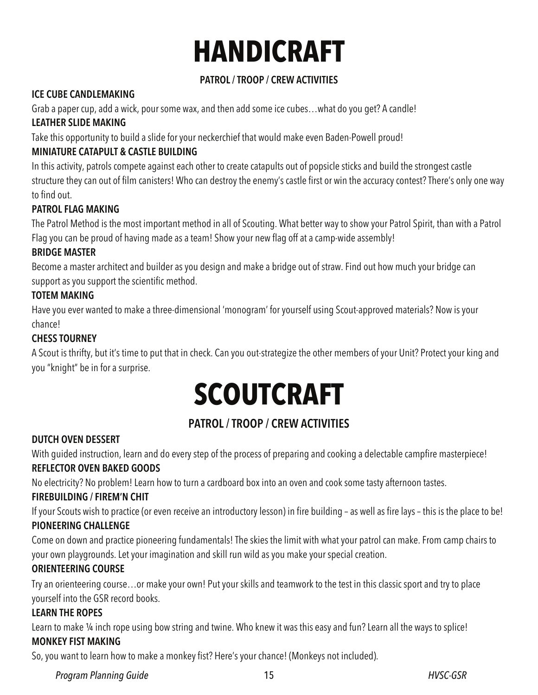# **HANDICRAFT**

### **PATROL / TROOP / CREW ACTIVITIES**

### **ICE CUBE CANDLEMAKING**

Grab a paper cup, add a wick, pour some wax, and then add some ice cubes…what do you get? A candle!

### **LEATHER SLIDE MAKING**

Take this opportunity to build a slide for your neckerchief that would make even Baden-Powell proud!

### **MINIATURE CATAPULT & CASTLE BUILDING**

In this activity, patrols compete against each other to create catapults out of popsicle sticks and build the strongest castle structure they can out of film canisters! Who can destroy the enemy's castle first or win the accuracy contest? There's only one way to find out.

### **PATROL FLAG MAKING**

The Patrol Method is the most important method in all of Scouting. What better way to show your Patrol Spirit, than with a Patrol Flag you can be proud of having made as a team! Show your new flag off at a camp-wide assembly!

### **BRIDGE MASTER**

Become a master architect and builder as you design and make a bridge out of straw. Find out how much your bridge can support as you support the scientific method.

### **TOTEM MAKING**

Have you ever wanted to make a three-dimensional 'monogram' for yourself using Scout-approved materials? Now is your chance!

### **CHESS TOURNEY**

A Scout is thrifty, but it's time to put that in check. Can you out-strategize the other members of your Unit? Protect your king and you "knight" be in for a surprise.

# **SCOUTCRAFT**

### **PATROL / TROOP / CREW ACTIVITIES**

### **DUTCH OVEN DESSERT**

With guided instruction, learn and do every step of the process of preparing and cooking a delectable campfire masterpiece! **REFLECTOR OVEN BAKED GOODS** 

No electricity? No problem! Learn how to turn a cardboard box into an oven and cook some tasty afternoon tastes.

### **FIREBUILDING / FIREM'N CHIT**

If your Scouts wish to practice (or even receive an introductory lesson) in fire building – as well as fire lays – this is the place to be! **PIONEERING CHALLENGE** 

Come on down and practice pioneering fundamentals! The skies the limit with what your patrol can make. From camp chairs to your own playgrounds. Let your imagination and skill run wild as you make your special creation.

### **ORIENTEERING COURSE**

Try an orienteering course…or make your own! Put your skills and teamwork to the test in this classic sport and try to place yourself into the GSR record books.

### **LEARN THE ROPES**

Learn to make 1/4 inch rope using bow string and twine. Who knew it was this easy and fun? Learn all the ways to splice! **MONKEY FIST MAKING** 

So, you want to learn how to make a monkey fist? Here's your chance! (Monkeys not included).

Program Planning Guide **HVSC-GSR 15**